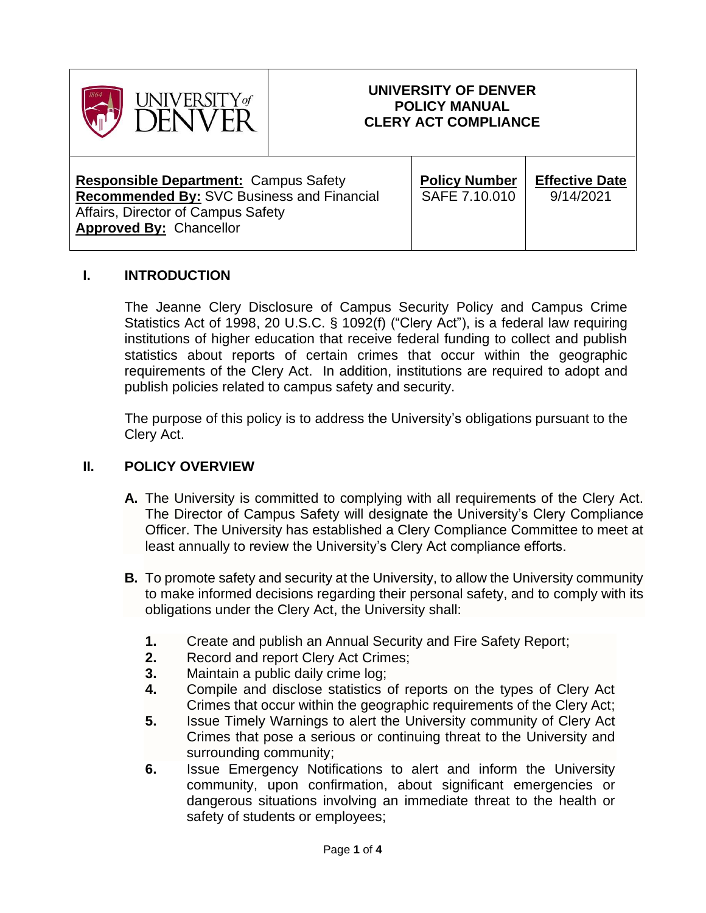

### **UNIVERSITY OF DENVER POLICY MANUAL CLERY ACT COMPLIANCE**

**Responsible Department:** Campus Safety **Recommended By:** SVC Business and Financial Affairs, Director of Campus Safety **Approved By:** Chancellor

| <b>Policy Number</b> |  |
|----------------------|--|
| SAFE 7.10.010        |  |
|                      |  |

**Effective Date** 9/14/2021

### **I. INTRODUCTION**

The Jeanne Clery Disclosure of Campus Security Policy and Campus Crime Statistics Act of 1998, 20 U.S.C. § 1092(f) ("Clery Act"), is a federal law requiring institutions of higher education that receive federal funding to collect and publish statistics about reports of certain crimes that occur within the geographic requirements of the Clery Act. In addition, institutions are required to adopt and publish policies related to campus safety and security.

The purpose of this policy is to address the University's obligations pursuant to the Clery Act.

#### **II. POLICY OVERVIEW**

- **A.** The University is committed to complying with all requirements of the Clery Act. The Director of Campus Safety will designate the University's Clery Compliance Officer. The University has established a Clery Compliance Committee to meet at least annually to review the University's Clery Act compliance efforts.
- **B.** To promote safety and security at the University, to allow the University community to make informed decisions regarding their personal safety, and to comply with its obligations under the Clery Act, the University shall:
	- **1.** Create and publish an Annual Security and Fire Safety Report;
	- **2.** Record and report Clery Act Crimes;
	- **3.** Maintain a public daily crime log;
	- **4.** Compile and disclose statistics of reports on the types of Clery Act Crimes that occur within the geographic requirements of the Clery Act;
	- **5.** Issue Timely Warnings to alert the University community of Clery Act Crimes that pose a serious or continuing threat to the University and surrounding community;
	- **6.** Issue Emergency Notifications to alert and inform the University community, upon confirmation, about significant emergencies or dangerous situations involving an immediate threat to the health or safety of students or employees;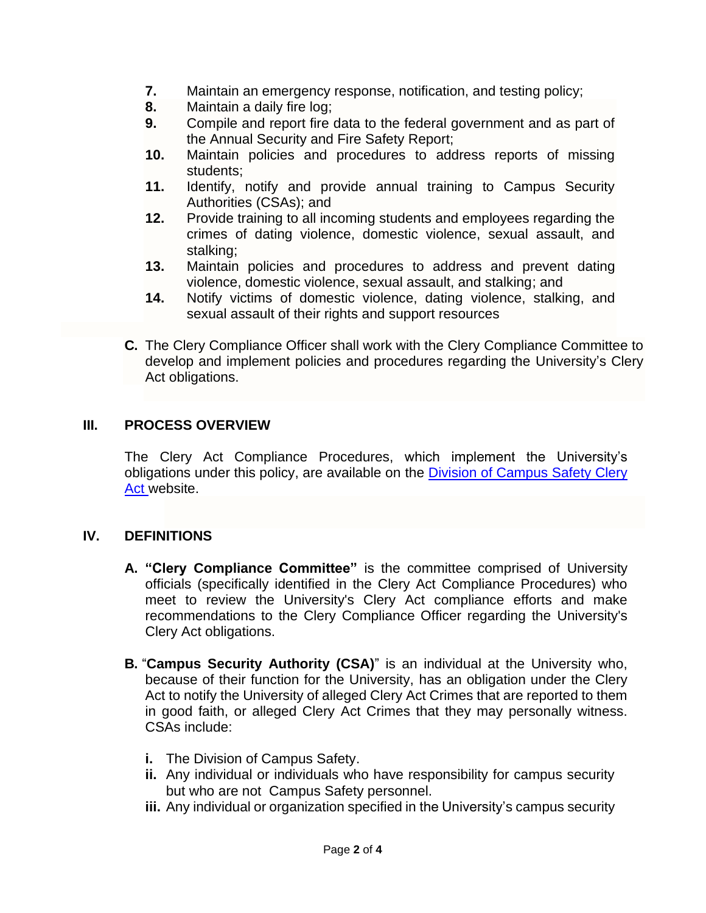- **7.** Maintain an emergency response, notification, and testing policy;
- **8.** Maintain a daily fire log;
- **9.** Compile and report fire data to the federal government and as part of the Annual Security and Fire Safety Report;
- **10.** Maintain policies and procedures to address reports of missing students;
- **11.** Identify, notify and provide annual training to Campus Security Authorities (CSAs); and
- **12.** Provide training to all incoming students and employees regarding the crimes of dating violence, domestic violence, sexual assault, and stalking;
- **13.** Maintain policies and procedures to address and prevent dating violence, domestic violence, sexual assault, and stalking; and
- **14.** Notify victims of domestic violence, dating violence, stalking, and sexual assault of their rights and support resources
- **C.** The Clery Compliance Officer shall work with the Clery Compliance Committee to develop and implement policies and procedures regarding the University's Clery Act obligations.

### **III. PROCESS OVERVIEW**

The Clery Act Compliance Procedures, which implement the University's obligations under this policy, are available on the [Division of Campus Safety Clery](https://www.du.edu/campussafety/clery-act)  [Act](https://www.du.edu/campussafety/clery-act) website.

## **IV. DEFINITIONS**

- **A. "Clery Compliance Committee"** is the committee comprised of University officials (specifically identified in the Clery Act Compliance Procedures) who meet to review the University's Clery Act compliance efforts and make recommendations to the Clery Compliance Officer regarding the University's Clery Act obligations.
- **B.** "**Campus Security Authority (CSA)**" is an individual at the University who, because of their function for the University, has an obligation under the Clery Act to notify the University of alleged Clery Act Crimes that are reported to them in good faith, or alleged Clery Act Crimes that they may personally witness. CSAs include:
	- **i.** The Division of Campus Safety.
	- **ii.** Any individual or individuals who have responsibility for campus security but who are not Campus Safety personnel.
	- **iii.** Any individual or organization specified in the University's campus security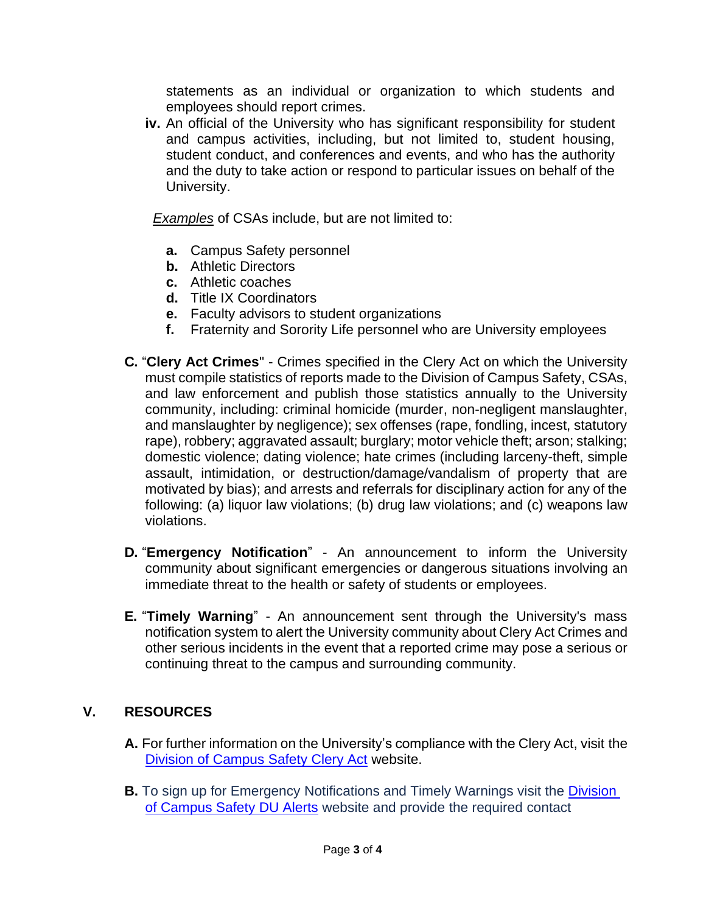statements as an individual or organization to which students and employees should report crimes.

**iv.** An official of the University who has significant responsibility for student and campus activities, including, but not limited to, student housing, student conduct, and conferences and events, and who has the authority and the duty to take action or respond to particular issues on behalf of the University.

*Examples* of CSAs include, but are not limited to:

- **a.** Campus Safety personnel
- **b.** Athletic Directors
- **c.** Athletic coaches
- **d.** Title IX Coordinators
- **e.** Faculty advisors to student organizations
- **f.** Fraternity and Sorority Life personnel who are University employees
- **C.** "**Clery Act Crimes**" Crimes specified in the Clery Act on which the University must compile statistics of reports made to the Division of Campus Safety, CSAs, and law enforcement and publish those statistics annually to the University community, including: criminal homicide (murder, non-negligent manslaughter, and manslaughter by negligence); sex offenses (rape, fondling, incest, statutory rape), robbery; aggravated assault; burglary; motor vehicle theft; arson; stalking; domestic violence; dating violence; hate crimes (including larceny-theft, simple assault, intimidation, or destruction/damage/vandalism of property that are motivated by bias); and arrests and referrals for disciplinary action for any of the following: (a) liquor law violations; (b) drug law violations; and (c) weapons law violations.
- **D.** "**Emergency Notification**" An announcement to inform the University community about significant emergencies or dangerous situations involving an immediate threat to the health or safety of students or employees.
- **E.** "**Timely Warning**" An announcement sent through the University's mass notification system to alert the University community about Clery Act Crimes and other serious incidents in the event that a reported crime may pose a serious or continuing threat to the campus and surrounding community.

# **V. RESOURCES**

- **A.** For further information on the University's compliance with the Clery Act, visit the [Division of Campus Safety Clery Act](https://www.du.edu/campussafety/clery-act) website.
- **B.** To sign up for Emergency Notifications and Timely Warnings visit the **Division** [of Campus Safety DU Alerts](https://www.du.edu/campussafety/du-alerts) website and provide the required contact